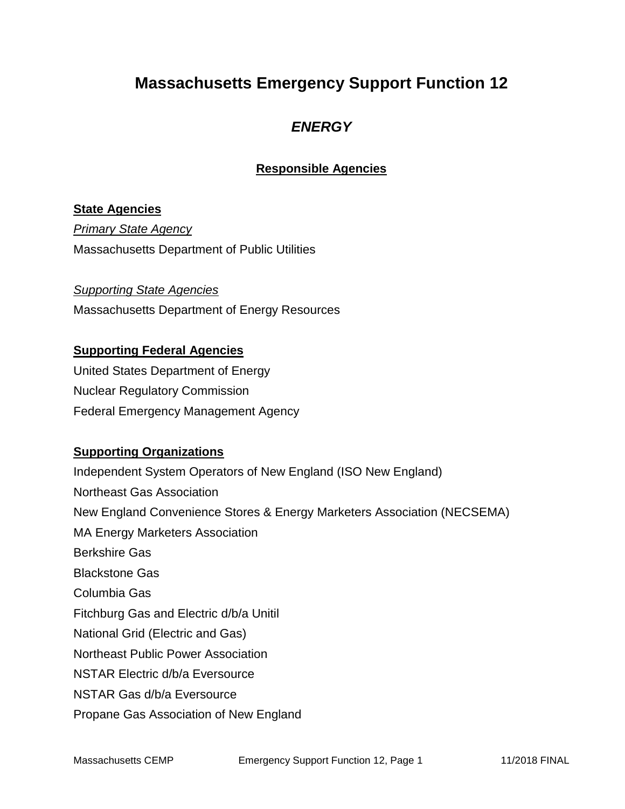## **Massachusetts Emergency Support Function 12**

### *ENERGY*

### **Responsible Agencies**

#### **State Agencies**

*Primary State Agency* Massachusetts Department of Public Utilities

*Supporting State Agencies*  Massachusetts Department of Energy Resources

#### **Supporting Federal Agencies**

United States Department of Energy Nuclear Regulatory Commission Federal Emergency Management Agency

#### **Supporting Organizations**

Independent System Operators of New England (ISO New England) Northeast Gas Association New England Convenience Stores & Energy Marketers Association (NECSEMA) MA Energy Marketers Association Berkshire Gas Blackstone Gas Columbia Gas Fitchburg Gas and Electric d/b/a Unitil National Grid (Electric and Gas) Northeast Public Power Association NSTAR Electric d/b/a Eversource NSTAR Gas d/b/a Eversource Propane Gas Association of New England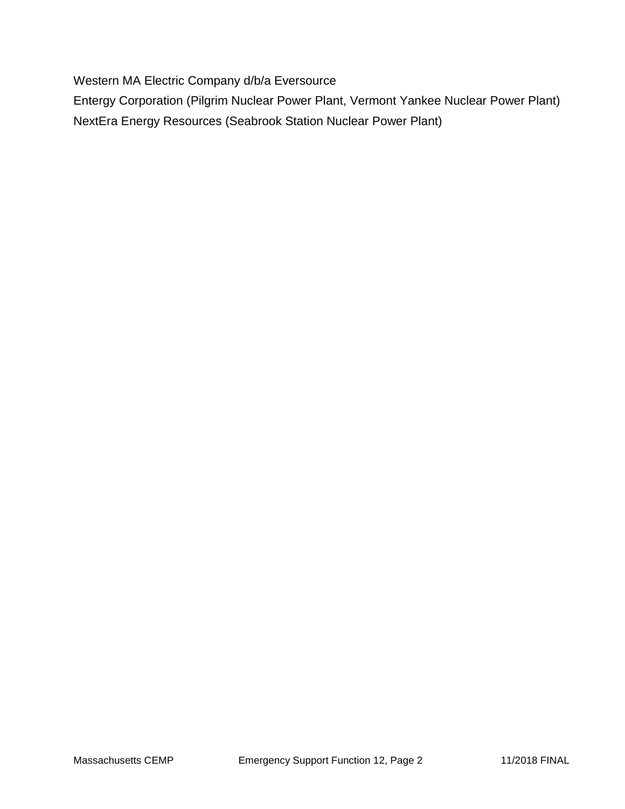Western MA Electric Company d/b/a Eversource

Entergy Corporation (Pilgrim Nuclear Power Plant, Vermont Yankee Nuclear Power Plant) NextEra Energy Resources (Seabrook Station Nuclear Power Plant)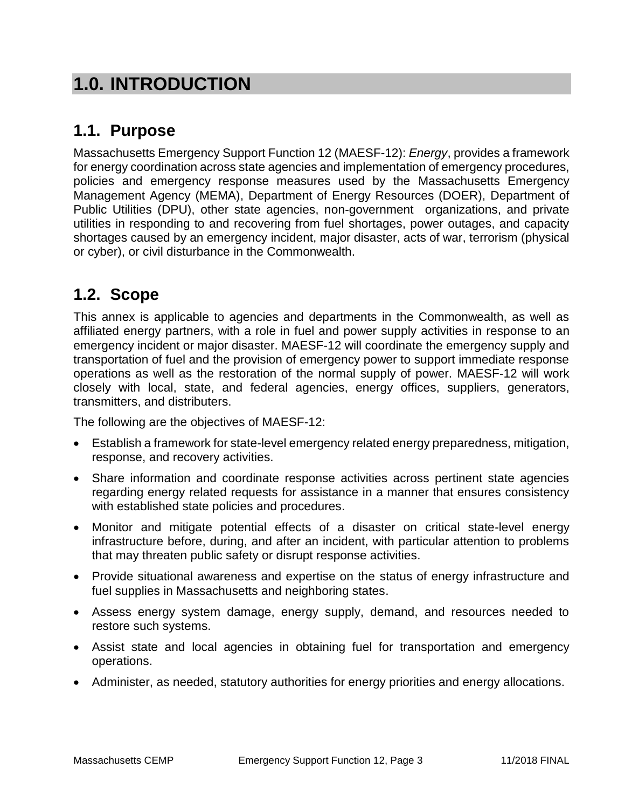# **1.0. INTRODUCTION**

## **1.1. Purpose**

Massachusetts Emergency Support Function 12 (MAESF-12): *Energy*, provides a framework for energy coordination across state agencies and implementation of emergency procedures, policies and emergency response measures used by the Massachusetts Emergency Management Agency (MEMA), Department of Energy Resources (DOER), Department of Public Utilities (DPU), other state agencies, non-government organizations, and private utilities in responding to and recovering from fuel shortages, power outages, and capacity shortages caused by an emergency incident, major disaster, acts of war, terrorism (physical or cyber), or civil disturbance in the Commonwealth.

### **1.2. Scope**

This annex is applicable to agencies and departments in the Commonwealth, as well as affiliated energy partners, with a role in fuel and power supply activities in response to an emergency incident or major disaster. MAESF-12 will coordinate the emergency supply and transportation of fuel and the provision of emergency power to support immediate response operations as well as the restoration of the normal supply of power. MAESF-12 will work closely with local, state, and federal agencies, energy offices, suppliers, generators, transmitters, and distributers.

The following are the objectives of MAESF-12:

- Establish a framework for state-level emergency related energy preparedness, mitigation, response, and recovery activities.
- Share information and coordinate response activities across pertinent state agencies regarding energy related requests for assistance in a manner that ensures consistency with established state policies and procedures.
- Monitor and mitigate potential effects of a disaster on critical state-level energy infrastructure before, during, and after an incident, with particular attention to problems that may threaten public safety or disrupt response activities.
- Provide situational awareness and expertise on the status of energy infrastructure and fuel supplies in Massachusetts and neighboring states.
- Assess energy system damage, energy supply, demand, and resources needed to restore such systems.
- Assist state and local agencies in obtaining fuel for transportation and emergency operations.
- Administer, as needed, statutory authorities for energy priorities and energy allocations.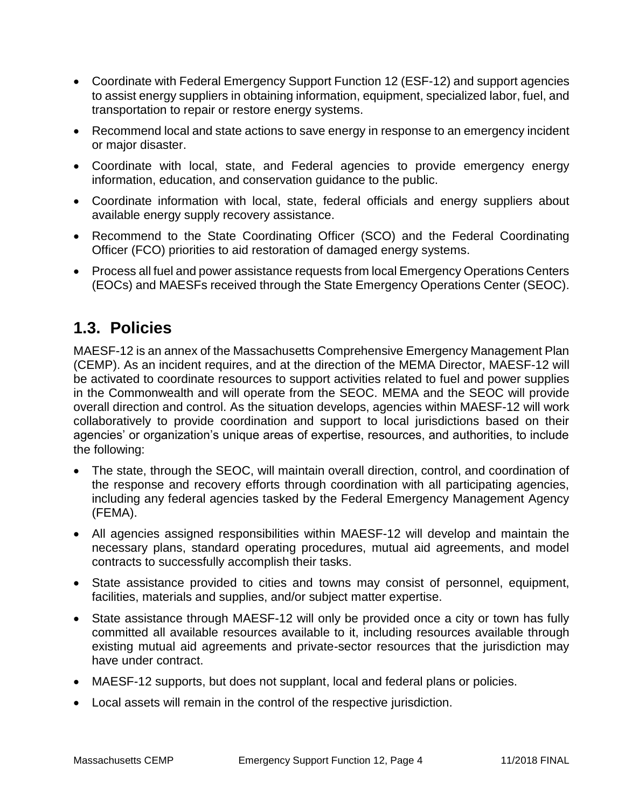- Coordinate with Federal Emergency Support Function 12 (ESF-12) and support agencies to assist energy suppliers in obtaining information, equipment, specialized labor, fuel, and transportation to repair or restore energy systems.
- Recommend local and state actions to save energy in response to an emergency incident or major disaster.
- Coordinate with local, state, and Federal agencies to provide emergency energy information, education, and conservation guidance to the public.
- Coordinate information with local, state, federal officials and energy suppliers about available energy supply recovery assistance.
- Recommend to the State Coordinating Officer (SCO) and the Federal Coordinating Officer (FCO) priorities to aid restoration of damaged energy systems.
- Process all fuel and power assistance requests from local Emergency Operations Centers (EOCs) and MAESFs received through the State Emergency Operations Center (SEOC).

### **1.3. Policies**

MAESF-12 is an annex of the Massachusetts Comprehensive Emergency Management Plan (CEMP). As an incident requires, and at the direction of the MEMA Director, MAESF-12 will be activated to coordinate resources to support activities related to fuel and power supplies in the Commonwealth and will operate from the SEOC. MEMA and the SEOC will provide overall direction and control. As the situation develops, agencies within MAESF-12 will work collaboratively to provide coordination and support to local jurisdictions based on their agencies' or organization's unique areas of expertise, resources, and authorities, to include the following:

- The state, through the SEOC, will maintain overall direction, control, and coordination of the response and recovery efforts through coordination with all participating agencies, including any federal agencies tasked by the Federal Emergency Management Agency (FEMA).
- All agencies assigned responsibilities within MAESF-12 will develop and maintain the necessary plans, standard operating procedures, mutual aid agreements, and model contracts to successfully accomplish their tasks.
- State assistance provided to cities and towns may consist of personnel, equipment, facilities, materials and supplies, and/or subject matter expertise.
- State assistance through MAESF-12 will only be provided once a city or town has fully committed all available resources available to it, including resources available through existing mutual aid agreements and private-sector resources that the jurisdiction may have under contract.
- MAESF-12 supports, but does not supplant, local and federal plans or policies.
- Local assets will remain in the control of the respective jurisdiction.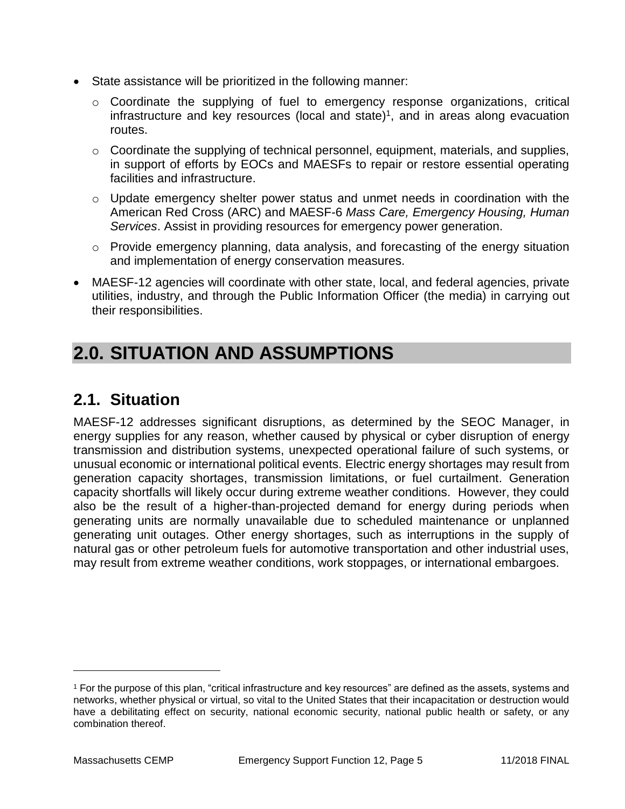- State assistance will be prioritized in the following manner:
	- o Coordinate the supplying of fuel to emergency response organizations, critical infrastructure and key resources (local and state)<sup>1</sup>, and in areas along evacuation routes.
	- $\circ$  Coordinate the supplying of technical personnel, equipment, materials, and supplies, in support of efforts by EOCs and MAESFs to repair or restore essential operating facilities and infrastructure.
	- $\circ$  Update emergency shelter power status and unmet needs in coordination with the American Red Cross (ARC) and MAESF-6 *Mass Care, Emergency Housing, Human Services*. Assist in providing resources for emergency power generation.
	- o Provide emergency planning, data analysis, and forecasting of the energy situation and implementation of energy conservation measures.
- MAESF-12 agencies will coordinate with other state, local, and federal agencies, private utilities, industry, and through the Public Information Officer (the media) in carrying out their responsibilities.

# **2.0. SITUATION AND ASSUMPTIONS**

## **2.1. Situation**

MAESF-12 addresses significant disruptions, as determined by the SEOC Manager, in energy supplies for any reason, whether caused by physical or cyber disruption of energy transmission and distribution systems, unexpected operational failure of such systems, or unusual economic or international political events. Electric energy shortages may result from generation capacity shortages, transmission limitations, or fuel curtailment. Generation capacity shortfalls will likely occur during extreme weather conditions. However, they could also be the result of a higher-than-projected demand for energy during periods when generating units are normally unavailable due to scheduled maintenance or unplanned generating unit outages. Other energy shortages, such as interruptions in the supply of natural gas or other petroleum fuels for automotive transportation and other industrial uses, may result from extreme weather conditions, work stoppages, or international embargoes.

 $\overline{a}$ 

<sup>1</sup> For the purpose of this plan, "critical infrastructure and key resources" are defined as the assets, systems and networks, whether physical or virtual, so vital to the United States that their incapacitation or destruction would have a debilitating effect on security, national economic security, national public health or safety, or any combination thereof.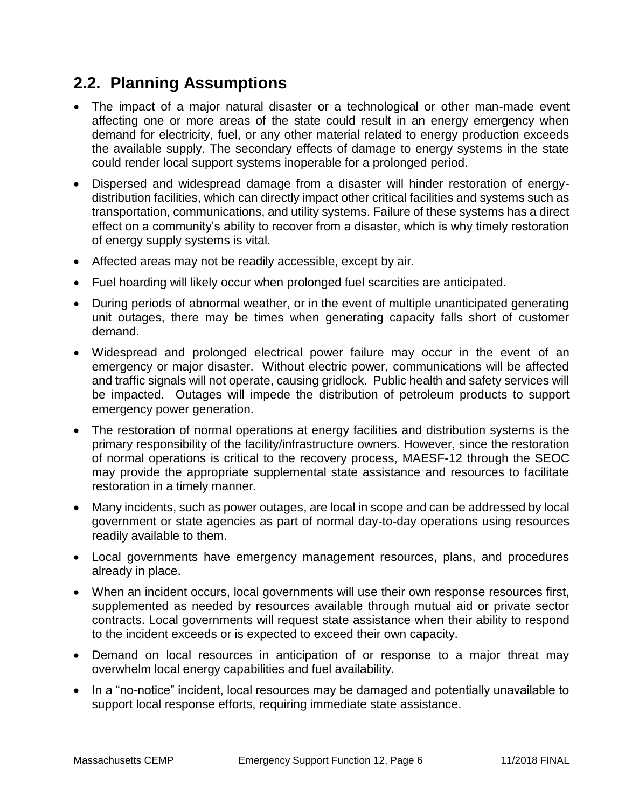## **2.2. Planning Assumptions**

- The impact of a major natural disaster or a technological or other man-made event affecting one or more areas of the state could result in an energy emergency when demand for electricity, fuel, or any other material related to energy production exceeds the available supply. The secondary effects of damage to energy systems in the state could render local support systems inoperable for a prolonged period.
- Dispersed and widespread damage from a disaster will hinder restoration of energydistribution facilities, which can directly impact other critical facilities and systems such as transportation, communications, and utility systems. Failure of these systems has a direct effect on a community's ability to recover from a disaster, which is why timely restoration of energy supply systems is vital.
- Affected areas may not be readily accessible, except by air.
- Fuel hoarding will likely occur when prolonged fuel scarcities are anticipated.
- During periods of abnormal weather, or in the event of multiple unanticipated generating unit outages, there may be times when generating capacity falls short of customer demand.
- Widespread and prolonged electrical power failure may occur in the event of an emergency or major disaster. Without electric power, communications will be affected and traffic signals will not operate, causing gridlock. Public health and safety services will be impacted. Outages will impede the distribution of petroleum products to support emergency power generation.
- The restoration of normal operations at energy facilities and distribution systems is the primary responsibility of the facility/infrastructure owners. However, since the restoration of normal operations is critical to the recovery process, MAESF-12 through the SEOC may provide the appropriate supplemental state assistance and resources to facilitate restoration in a timely manner.
- Many incidents, such as power outages, are local in scope and can be addressed by local government or state agencies as part of normal day-to-day operations using resources readily available to them.
- Local governments have emergency management resources, plans, and procedures already in place.
- When an incident occurs, local governments will use their own response resources first, supplemented as needed by resources available through mutual aid or private sector contracts. Local governments will request state assistance when their ability to respond to the incident exceeds or is expected to exceed their own capacity.
- Demand on local resources in anticipation of or response to a major threat may overwhelm local energy capabilities and fuel availability.
- In a "no-notice" incident, local resources may be damaged and potentially unavailable to support local response efforts, requiring immediate state assistance.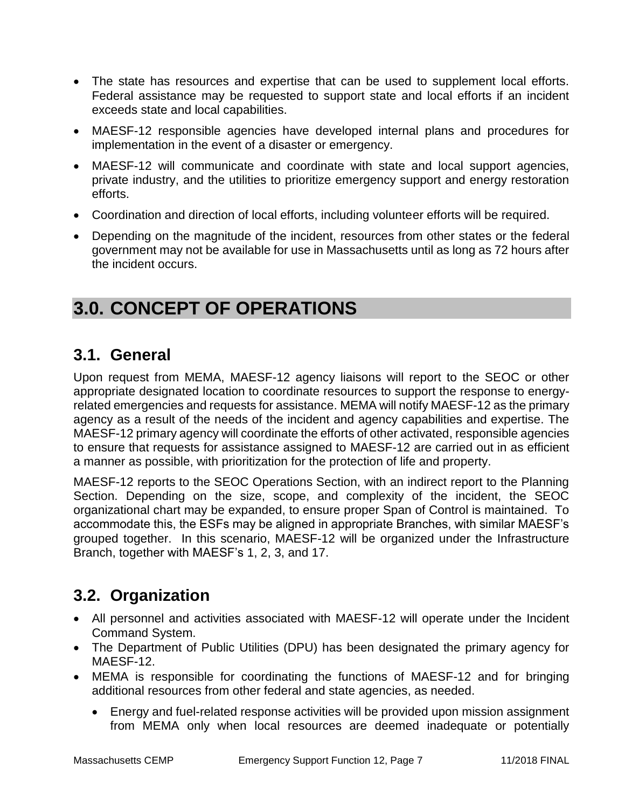- The state has resources and expertise that can be used to supplement local efforts. Federal assistance may be requested to support state and local efforts if an incident exceeds state and local capabilities.
- MAESF-12 responsible agencies have developed internal plans and procedures for implementation in the event of a disaster or emergency.
- MAESF-12 will communicate and coordinate with state and local support agencies, private industry, and the utilities to prioritize emergency support and energy restoration efforts.
- Coordination and direction of local efforts, including volunteer efforts will be required.
- Depending on the magnitude of the incident, resources from other states or the federal government may not be available for use in Massachusetts until as long as 72 hours after the incident occurs.

# **3.0. CONCEPT OF OPERATIONS**

### **3.1. General**

Upon request from MEMA, MAESF-12 agency liaisons will report to the SEOC or other appropriate designated location to coordinate resources to support the response to energyrelated emergencies and requests for assistance. MEMA will notify MAESF-12 as the primary agency as a result of the needs of the incident and agency capabilities and expertise. The MAESF-12 primary agency will coordinate the efforts of other activated, responsible agencies to ensure that requests for assistance assigned to MAESF-12 are carried out in as efficient a manner as possible, with prioritization for the protection of life and property.

MAESF-12 reports to the SEOC Operations Section, with an indirect report to the Planning Section. Depending on the size, scope, and complexity of the incident, the SEOC organizational chart may be expanded, to ensure proper Span of Control is maintained. To accommodate this, the ESFs may be aligned in appropriate Branches, with similar MAESF's grouped together. In this scenario, MAESF-12 will be organized under the Infrastructure Branch, together with MAESF's 1, 2, 3, and 17.

## **3.2. Organization**

- All personnel and activities associated with MAESF-12 will operate under the Incident Command System.
- The Department of Public Utilities (DPU) has been designated the primary agency for MAFSF-12.
- MEMA is responsible for coordinating the functions of MAESF-12 and for bringing additional resources from other federal and state agencies, as needed.
	- Energy and fuel-related response activities will be provided upon mission assignment from MEMA only when local resources are deemed inadequate or potentially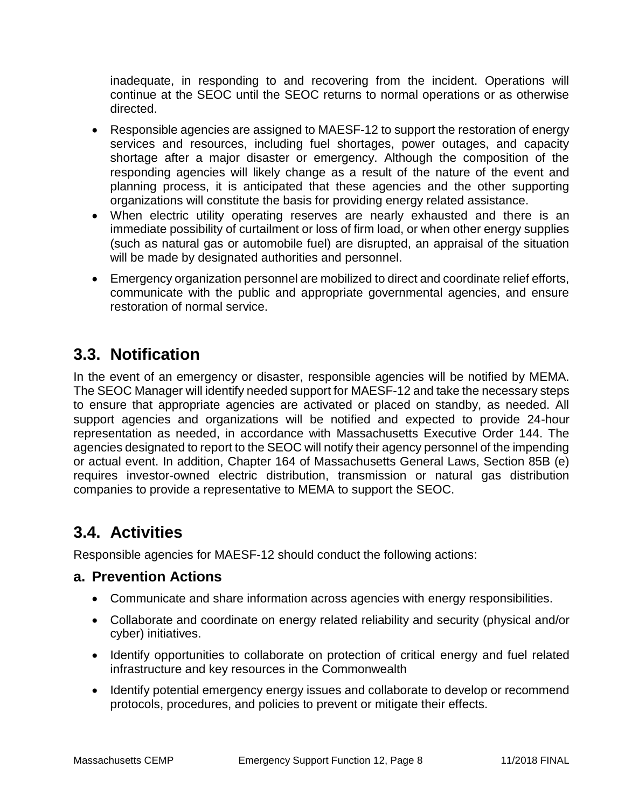inadequate, in responding to and recovering from the incident. Operations will continue at the SEOC until the SEOC returns to normal operations or as otherwise directed.

- Responsible agencies are assigned to MAESF-12 to support the restoration of energy services and resources, including fuel shortages, power outages, and capacity shortage after a major disaster or emergency. Although the composition of the responding agencies will likely change as a result of the nature of the event and planning process, it is anticipated that these agencies and the other supporting organizations will constitute the basis for providing energy related assistance.
- When electric utility operating reserves are nearly exhausted and there is an immediate possibility of curtailment or loss of firm load, or when other energy supplies (such as natural gas or automobile fuel) are disrupted, an appraisal of the situation will be made by designated authorities and personnel.
- Emergency organization personnel are mobilized to direct and coordinate relief efforts, communicate with the public and appropriate governmental agencies, and ensure restoration of normal service.

## **3.3. Notification**

In the event of an emergency or disaster, responsible agencies will be notified by MEMA. The SEOC Manager will identify needed support for MAESF-12 and take the necessary steps to ensure that appropriate agencies are activated or placed on standby, as needed. All support agencies and organizations will be notified and expected to provide 24-hour representation as needed, in accordance with Massachusetts Executive Order 144. The agencies designated to report to the SEOC will notify their agency personnel of the impending or actual event. In addition, Chapter 164 of Massachusetts General Laws, Section 85B (e) requires investor-owned electric distribution, transmission or natural gas distribution companies to provide a representative to MEMA to support the SEOC.

## **3.4. Activities**

Responsible agencies for MAESF-12 should conduct the following actions:

### **a. Prevention Actions**

- Communicate and share information across agencies with energy responsibilities.
- Collaborate and coordinate on energy related reliability and security (physical and/or cyber) initiatives.
- Identify opportunities to collaborate on protection of critical energy and fuel related infrastructure and key resources in the Commonwealth
- Identify potential emergency energy issues and collaborate to develop or recommend protocols, procedures, and policies to prevent or mitigate their effects.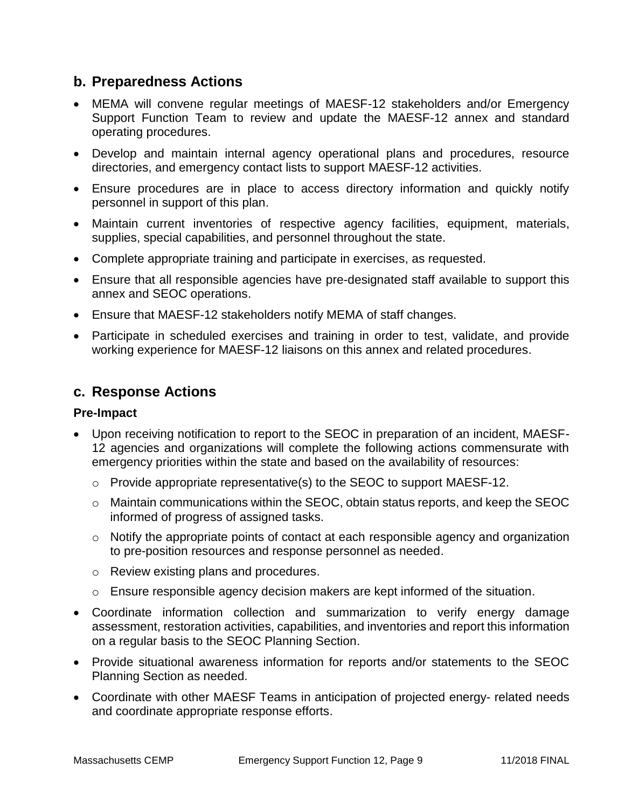### **b. Preparedness Actions**

- MEMA will convene regular meetings of MAESF-12 stakeholders and/or Emergency Support Function Team to review and update the MAESF-12 annex and standard operating procedures.
- Develop and maintain internal agency operational plans and procedures, resource directories, and emergency contact lists to support MAESF-12 activities.
- Ensure procedures are in place to access directory information and quickly notify personnel in support of this plan.
- Maintain current inventories of respective agency facilities, equipment, materials, supplies, special capabilities, and personnel throughout the state.
- Complete appropriate training and participate in exercises, as requested.
- Ensure that all responsible agencies have pre-designated staff available to support this annex and SEOC operations.
- Ensure that MAESF-12 stakeholders notify MEMA of staff changes.
- Participate in scheduled exercises and training in order to test, validate, and provide working experience for MAESF-12 liaisons on this annex and related procedures.

### **c. Response Actions**

#### **Pre-Impact**

- Upon receiving notification to report to the SEOC in preparation of an incident, MAESF-12 agencies and organizations will complete the following actions commensurate with emergency priorities within the state and based on the availability of resources:
	- o Provide appropriate representative(s) to the SEOC to support MAESF-12.
	- o Maintain communications within the SEOC, obtain status reports, and keep the SEOC informed of progress of assigned tasks.
	- o Notify the appropriate points of contact at each responsible agency and organization to pre-position resources and response personnel as needed.
	- o Review existing plans and procedures.
	- $\circ$  Ensure responsible agency decision makers are kept informed of the situation.
- Coordinate information collection and summarization to verify energy damage assessment, restoration activities, capabilities, and inventories and report this information on a regular basis to the SEOC Planning Section.
- Provide situational awareness information for reports and/or statements to the SEOC Planning Section as needed.
- Coordinate with other MAESF Teams in anticipation of projected energy- related needs and coordinate appropriate response efforts.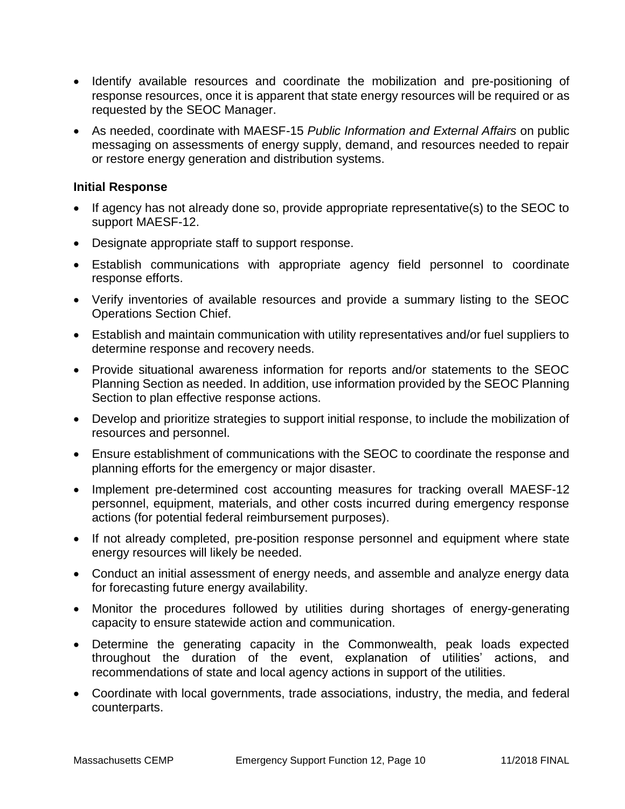- Identify available resources and coordinate the mobilization and pre-positioning of response resources, once it is apparent that state energy resources will be required or as requested by the SEOC Manager.
- As needed, coordinate with MAESF-15 *Public Information and External Affairs* on public messaging on assessments of energy supply, demand, and resources needed to repair or restore energy generation and distribution systems.

#### **Initial Response**

- If agency has not already done so, provide appropriate representative(s) to the SEOC to support MAESF-12.
- Designate appropriate staff to support response.
- Establish communications with appropriate agency field personnel to coordinate response efforts.
- Verify inventories of available resources and provide a summary listing to the SEOC Operations Section Chief.
- Establish and maintain communication with utility representatives and/or fuel suppliers to determine response and recovery needs.
- Provide situational awareness information for reports and/or statements to the SEOC Planning Section as needed. In addition, use information provided by the SEOC Planning Section to plan effective response actions.
- Develop and prioritize strategies to support initial response, to include the mobilization of resources and personnel.
- Ensure establishment of communications with the SEOC to coordinate the response and planning efforts for the emergency or major disaster.
- Implement pre-determined cost accounting measures for tracking overall MAESF-12 personnel, equipment, materials, and other costs incurred during emergency response actions (for potential federal reimbursement purposes).
- If not already completed, pre-position response personnel and equipment where state energy resources will likely be needed.
- Conduct an initial assessment of energy needs, and assemble and analyze energy data for forecasting future energy availability.
- Monitor the procedures followed by utilities during shortages of energy-generating capacity to ensure statewide action and communication.
- Determine the generating capacity in the Commonwealth, peak loads expected throughout the duration of the event, explanation of utilities' actions, and recommendations of state and local agency actions in support of the utilities.
- Coordinate with local governments, trade associations, industry, the media, and federal counterparts.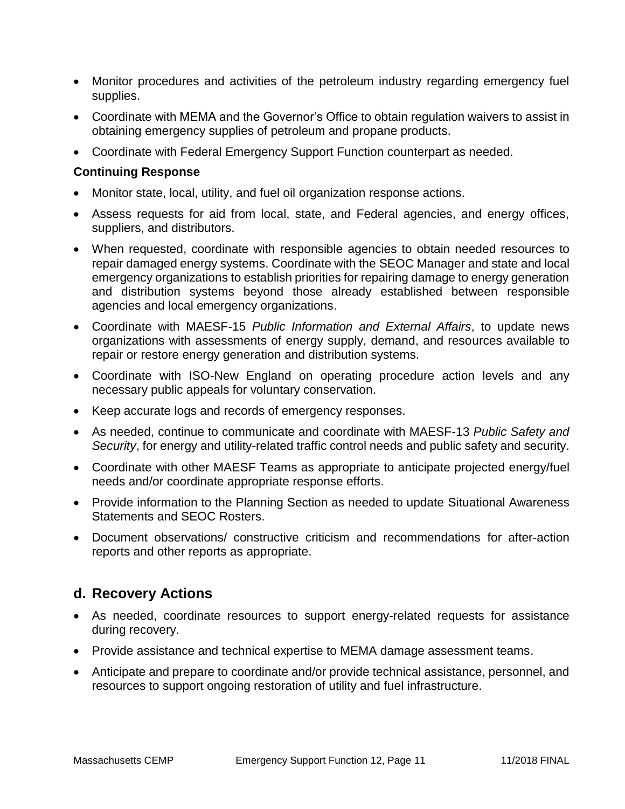- Monitor procedures and activities of the petroleum industry regarding emergency fuel supplies.
- Coordinate with MEMA and the Governor's Office to obtain regulation waivers to assist in obtaining emergency supplies of petroleum and propane products.
- Coordinate with Federal Emergency Support Function counterpart as needed.

#### **Continuing Response**

- Monitor state, local, utility, and fuel oil organization response actions.
- Assess requests for aid from local, state, and Federal agencies, and energy offices, suppliers, and distributors.
- When requested, coordinate with responsible agencies to obtain needed resources to repair damaged energy systems. Coordinate with the SEOC Manager and state and local emergency organizations to establish priorities for repairing damage to energy generation and distribution systems beyond those already established between responsible agencies and local emergency organizations.
- Coordinate with MAESF-15 *Public Information and External Affairs*, to update news organizations with assessments of energy supply, demand, and resources available to repair or restore energy generation and distribution systems.
- Coordinate with ISO-New England on operating procedure action levels and any necessary public appeals for voluntary conservation.
- Keep accurate logs and records of emergency responses.
- As needed, continue to communicate and coordinate with MAESF-13 *Public Safety and Security*, for energy and utility-related traffic control needs and public safety and security.
- Coordinate with other MAESF Teams as appropriate to anticipate projected energy/fuel needs and/or coordinate appropriate response efforts.
- Provide information to the Planning Section as needed to update Situational Awareness Statements and SEOC Rosters.
- Document observations/ constructive criticism and recommendations for after-action reports and other reports as appropriate.

### **d. Recovery Actions**

- As needed, coordinate resources to support energy-related requests for assistance during recovery.
- Provide assistance and technical expertise to MEMA damage assessment teams.
- Anticipate and prepare to coordinate and/or provide technical assistance, personnel, and resources to support ongoing restoration of utility and fuel infrastructure.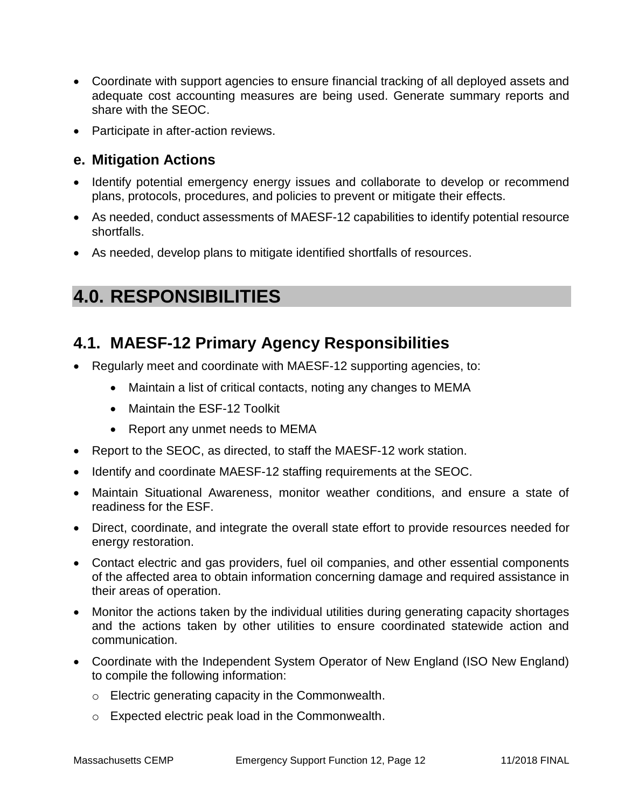- Coordinate with support agencies to ensure financial tracking of all deployed assets and adequate cost accounting measures are being used. Generate summary reports and share with the SEOC.
- Participate in after-action reviews.

### **e. Mitigation Actions**

- Identify potential emergency energy issues and collaborate to develop or recommend plans, protocols, procedures, and policies to prevent or mitigate their effects.
- As needed, conduct assessments of MAESF-12 capabilities to identify potential resource shortfalls.
- As needed, develop plans to mitigate identified shortfalls of resources.

# **4.0. RESPONSIBILITIES**

### **4.1. MAESF-12 Primary Agency Responsibilities**

- Regularly meet and coordinate with MAESF-12 supporting agencies, to:
	- Maintain a list of critical contacts, noting any changes to MEMA
	- Maintain the ESF-12 Toolkit
	- Report any unmet needs to MEMA
- Report to the SEOC, as directed, to staff the MAESF-12 work station.
- Identify and coordinate MAESF-12 staffing requirements at the SEOC.
- Maintain Situational Awareness, monitor weather conditions, and ensure a state of readiness for the ESF.
- Direct, coordinate, and integrate the overall state effort to provide resources needed for energy restoration.
- Contact electric and gas providers, fuel oil companies, and other essential components of the affected area to obtain information concerning damage and required assistance in their areas of operation.
- Monitor the actions taken by the individual utilities during generating capacity shortages and the actions taken by other utilities to ensure coordinated statewide action and communication.
- Coordinate with the Independent System Operator of New England (ISO New England) to compile the following information:
	- o Electric generating capacity in the Commonwealth.
	- o Expected electric peak load in the Commonwealth.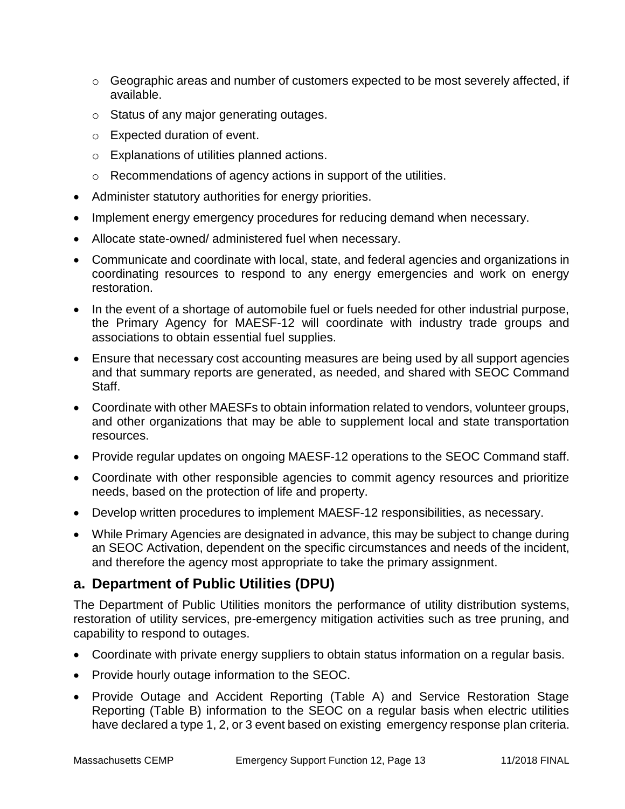- $\circ$  Geographic areas and number of customers expected to be most severely affected, if available.
- o Status of any major generating outages.
- o Expected duration of event.
- o Explanations of utilities planned actions.
- o Recommendations of agency actions in support of the utilities.
- Administer statutory authorities for energy priorities.
- Implement energy emergency procedures for reducing demand when necessary.
- Allocate state-owned/ administered fuel when necessary.
- Communicate and coordinate with local, state, and federal agencies and organizations in coordinating resources to respond to any energy emergencies and work on energy restoration.
- In the event of a shortage of automobile fuel or fuels needed for other industrial purpose, the Primary Agency for MAESF-12 will coordinate with industry trade groups and associations to obtain essential fuel supplies.
- Ensure that necessary cost accounting measures are being used by all support agencies and that summary reports are generated, as needed, and shared with SEOC Command Staff.
- Coordinate with other MAESFs to obtain information related to vendors, volunteer groups, and other organizations that may be able to supplement local and state transportation resources.
- Provide regular updates on ongoing MAESF-12 operations to the SEOC Command staff.
- Coordinate with other responsible agencies to commit agency resources and prioritize needs, based on the protection of life and property.
- Develop written procedures to implement MAESF-12 responsibilities, as necessary.
- While Primary Agencies are designated in advance, this may be subject to change during an SEOC Activation, dependent on the specific circumstances and needs of the incident, and therefore the agency most appropriate to take the primary assignment.

### **a. Department of Public Utilities (DPU)**

The Department of Public Utilities monitors the performance of utility distribution systems, restoration of utility services, pre-emergency mitigation activities such as tree pruning, and capability to respond to outages.

- Coordinate with private energy suppliers to obtain status information on a regular basis.
- Provide hourly outage information to the SEOC.
- Provide Outage and Accident Reporting (Table A) and Service Restoration Stage Reporting (Table B) information to the SEOC on a regular basis when electric utilities have declared a type 1, 2, or 3 event based on existing emergency response plan criteria.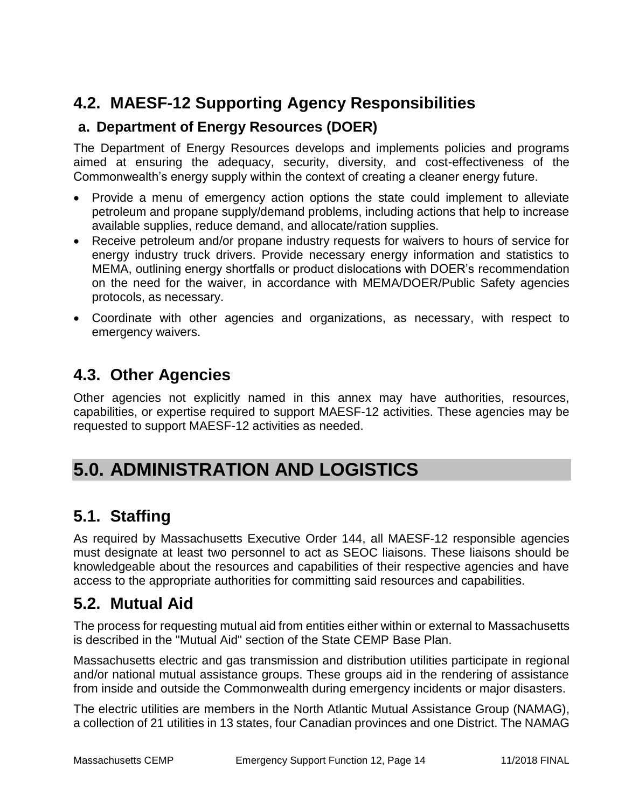## **4.2. MAESF-12 Supporting Agency Responsibilities**

### **a. Department of Energy Resources (DOER)**

The Department of Energy Resources develops and implements policies and programs aimed at ensuring the adequacy, security, diversity, and cost-effectiveness of the Commonwealth's energy supply within the context of creating a cleaner energy future.

- Provide a menu of emergency action options the state could implement to alleviate petroleum and propane supply/demand problems, including actions that help to increase available supplies, reduce demand, and allocate/ration supplies.
- Receive petroleum and/or propane industry requests for waivers to hours of service for energy industry truck drivers. Provide necessary energy information and statistics to MEMA, outlining energy shortfalls or product dislocations with DOER's recommendation on the need for the waiver, in accordance with MEMA/DOER/Public Safety agencies protocols, as necessary.
- Coordinate with other agencies and organizations, as necessary, with respect to emergency waivers.

### **4.3. Other Agencies**

Other agencies not explicitly named in this annex may have authorities, resources, capabilities, or expertise required to support MAESF-12 activities. These agencies may be requested to support MAESF-12 activities as needed.

# **5.0. ADMINISTRATION AND LOGISTICS**

## **5.1. Staffing**

As required by Massachusetts Executive Order 144, all MAESF-12 responsible agencies must designate at least two personnel to act as SEOC liaisons. These liaisons should be knowledgeable about the resources and capabilities of their respective agencies and have access to the appropriate authorities for committing said resources and capabilities.

### **5.2. Mutual Aid**

The process for requesting mutual aid from entities either within or external to Massachusetts is described in the "Mutual Aid" section of the State CEMP Base Plan.

Massachusetts electric and gas transmission and distribution utilities participate in regional and/or national mutual assistance groups. These groups aid in the rendering of assistance from inside and outside the Commonwealth during emergency incidents or major disasters.

The electric utilities are members in the North Atlantic Mutual Assistance Group (NAMAG), a collection of 21 utilities in 13 states, four Canadian provinces and one District. The NAMAG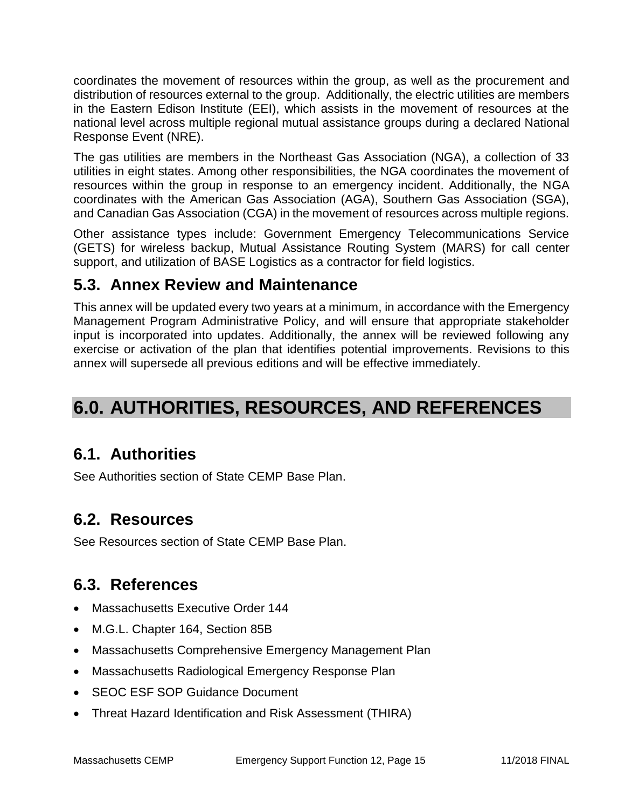coordinates the movement of resources within the group, as well as the procurement and distribution of resources external to the group. Additionally, the electric utilities are members in the Eastern Edison Institute (EEI), which assists in the movement of resources at the national level across multiple regional mutual assistance groups during a declared National Response Event (NRE).

The gas utilities are members in the Northeast Gas Association (NGA), a collection of 33 utilities in eight states. Among other responsibilities, the NGA coordinates the movement of resources within the group in response to an emergency incident. Additionally, the NGA coordinates with the American Gas Association (AGA), Southern Gas Association (SGA), and Canadian Gas Association (CGA) in the movement of resources across multiple regions.

Other assistance types include: Government Emergency Telecommunications Service (GETS) for wireless backup, Mutual Assistance Routing System (MARS) for call center support, and utilization of BASE Logistics as a contractor for field logistics.

## **5.3. Annex Review and Maintenance**

This annex will be updated every two years at a minimum, in accordance with the Emergency Management Program Administrative Policy, and will ensure that appropriate stakeholder input is incorporated into updates. Additionally, the annex will be reviewed following any exercise or activation of the plan that identifies potential improvements. Revisions to this annex will supersede all previous editions and will be effective immediately.

# **6.0. AUTHORITIES, RESOURCES, AND REFERENCES**

## **6.1. Authorities**

See Authorities section of State CEMP Base Plan.

## **6.2. Resources**

See Resources section of State CEMP Base Plan.

## **6.3. References**

- Massachusetts Executive Order 144
- M.G.L. Chapter 164, Section 85B
- Massachusetts Comprehensive Emergency Management Plan
- Massachusetts Radiological Emergency Response Plan
- SEOC ESF SOP Guidance Document
- Threat Hazard Identification and Risk Assessment (THIRA)